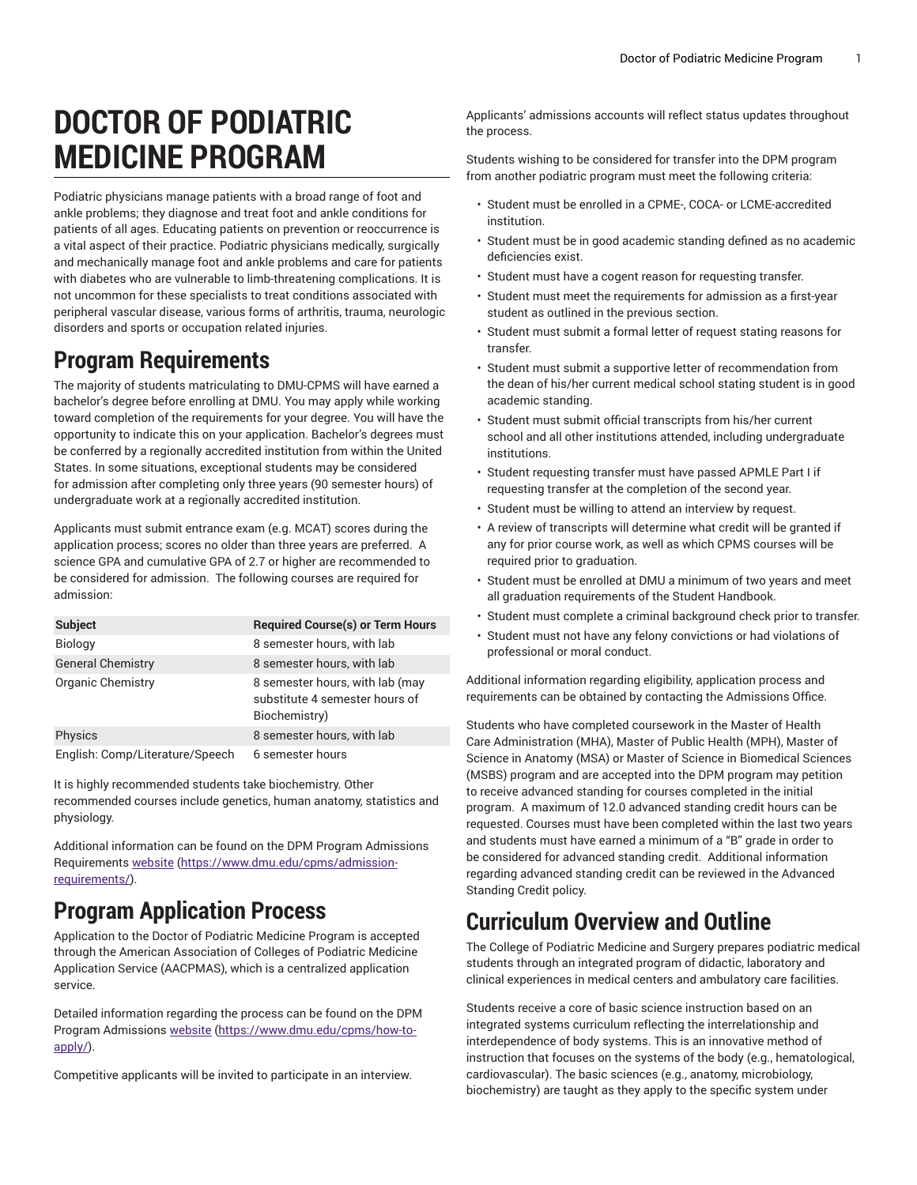# **DOCTOR OF PODIATRIC MEDICINE PROGRAM**

Podiatric physicians manage patients with a broad range of foot and ankle problems; they diagnose and treat foot and ankle conditions for patients of all ages. Educating patients on prevention or reoccurrence is a vital aspect of their practice. Podiatric physicians medically, surgically and mechanically manage foot and ankle problems and care for patients with diabetes who are vulnerable to limb-threatening complications. It is not uncommon for these specialists to treat conditions associated with peripheral vascular disease, various forms of arthritis, trauma, neurologic disorders and sports or occupation related injuries.

#### **Program Requirements**

The majority of students matriculating to DMU-CPMS will have earned a bachelor's degree before enrolling at DMU. You may apply while working toward completion of the requirements for your degree. You will have the opportunity to indicate this on your application. Bachelor's degrees must be conferred by a regionally accredited institution from within the United States. In some situations, exceptional students may be considered for admission after completing only three years (90 semester hours) of undergraduate work at a regionally accredited institution.

Applicants must submit entrance exam (e.g. MCAT) scores during the application process; scores no older than three years are preferred. A science GPA and cumulative GPA of 2.7 or higher are recommended to be considered for admission. The following courses are required for admission:

| <b>Subject</b>                  | <b>Required Course(s) or Term Hours</b>                                            |
|---------------------------------|------------------------------------------------------------------------------------|
| Biology                         | 8 semester hours, with lab                                                         |
| <b>General Chemistry</b>        | 8 semester hours, with lab                                                         |
| Organic Chemistry               | 8 semester hours, with lab (may<br>substitute 4 semester hours of<br>Biochemistry) |
| Physics                         | 8 semester hours, with lab                                                         |
| English: Comp/Literature/Speech | 6 semester hours                                                                   |

It is highly recommended students take biochemistry. Other recommended courses include genetics, human anatomy, statistics and physiology.

Additional information can be found on the DPM Program Admissions Requirements [website](https://www.dmu.edu/cpms/admission-requirements/) ([https://www.dmu.edu/cpms/admission](https://www.dmu.edu/cpms/admission-requirements/)[requirements/\)](https://www.dmu.edu/cpms/admission-requirements/).

### **Program Application Process**

Application to the Doctor of Podiatric Medicine Program is accepted through the American Association of Colleges of Podiatric Medicine Application Service (AACPMAS), which is a centralized application service.

Detailed information regarding the process can be found on the DPM Program Admissions [website](https://www.dmu.edu/cpms/how-to-apply/) ([https://www.dmu.edu/cpms/how-to](https://www.dmu.edu/cpms/how-to-apply/)[apply/\)](https://www.dmu.edu/cpms/how-to-apply/).

Competitive applicants will be invited to participate in an interview.

Applicants' admissions accounts will reflect status updates throughout the process.

Students wishing to be considered for transfer into the DPM program from another podiatric program must meet the following criteria:

- Student must be enrolled in a CPME-, COCA- or LCME-accredited institution.
- Student must be in good academic standing defined as no academic deficiencies exist.
- Student must have a cogent reason for requesting transfer.
- Student must meet the requirements for admission as a first-year student as outlined in the previous section.
- Student must submit a formal letter of request stating reasons for transfer.
- Student must submit a supportive letter of recommendation from the dean of his/her current medical school stating student is in good academic standing.
- Student must submit official transcripts from his/her current school and all other institutions attended, including undergraduate institutions.
- Student requesting transfer must have passed APMLE Part I if requesting transfer at the completion of the second year.
- Student must be willing to attend an interview by request.
- A review of transcripts will determine what credit will be granted if any for prior course work, as well as which CPMS courses will be required prior to graduation.
- Student must be enrolled at DMU a minimum of two years and meet all graduation requirements of the Student Handbook.
- Student must complete a criminal background check prior to transfer.
- Student must not have any felony convictions or had violations of professional or moral conduct.

Additional information regarding eligibility, application process and requirements can be obtained by contacting the Admissions Office.

Students who have completed coursework in the Master of Health Care Administration (MHA), Master of Public Health (MPH), Master of Science in Anatomy (MSA) or Master of Science in Biomedical Sciences (MSBS) program and are accepted into the DPM program may petition to receive advanced standing for courses completed in the initial program. A maximum of 12.0 advanced standing credit hours can be requested. Courses must have been completed within the last two years and students must have earned a minimum of a "B" grade in order to be considered for advanced standing credit. Additional information regarding advanced standing credit can be reviewed in the Advanced Standing Credit policy.

## **Curriculum Overview and Outline**

The College of Podiatric Medicine and Surgery prepares podiatric medical students through an integrated program of didactic, laboratory and clinical experiences in medical centers and ambulatory care facilities.

Students receive a core of basic science instruction based on an integrated systems curriculum reflecting the interrelationship and interdependence of body systems. This is an innovative method of instruction that focuses on the systems of the body (e.g., hematological, cardiovascular). The basic sciences (e.g., anatomy, microbiology, biochemistry) are taught as they apply to the specific system under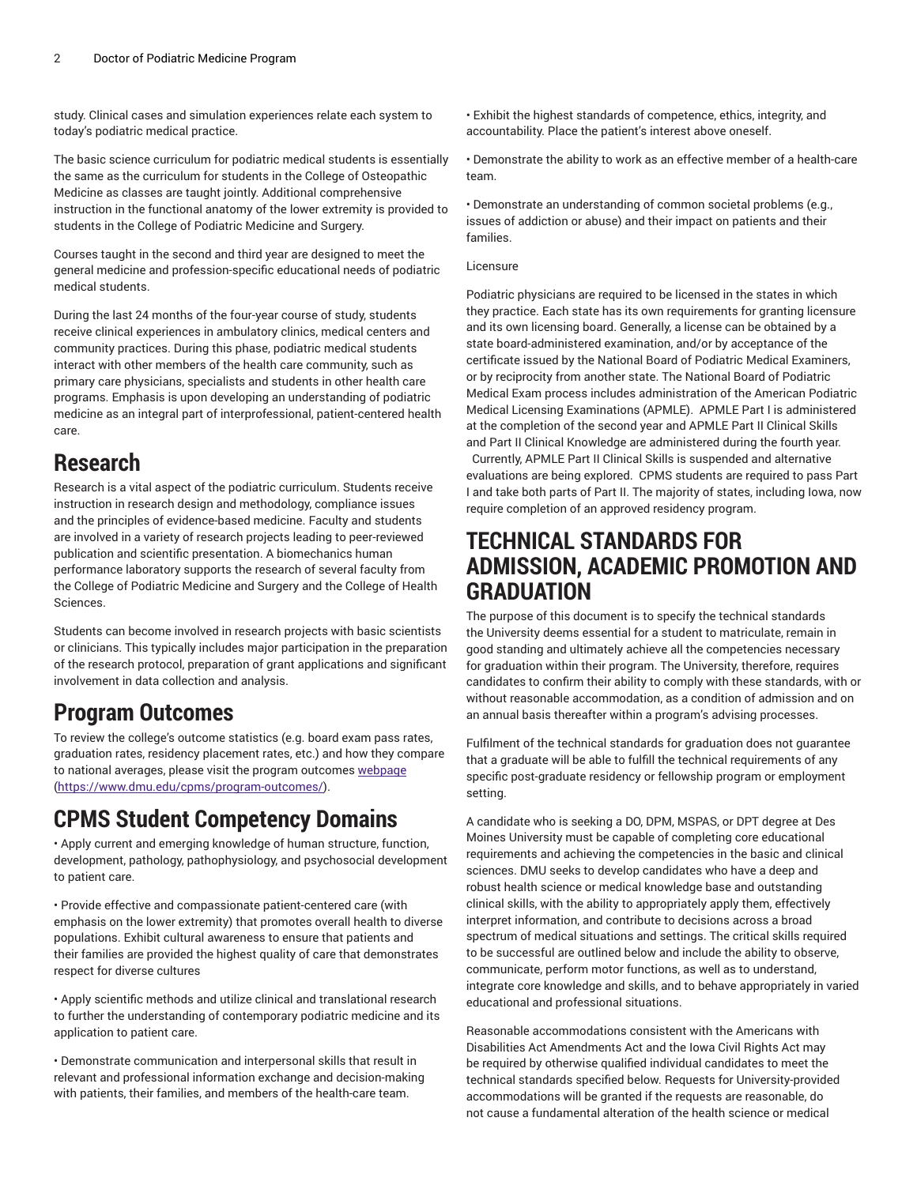study. Clinical cases and simulation experiences relate each system to today's podiatric medical practice.

The basic science curriculum for podiatric medical students is essentially the same as the curriculum for students in the College of Osteopathic Medicine as classes are taught jointly. Additional comprehensive instruction in the functional anatomy of the lower extremity is provided to students in the College of Podiatric Medicine and Surgery.

Courses taught in the second and third year are designed to meet the general medicine and profession-specific educational needs of podiatric medical students.

During the last 24 months of the four-year course of study, students receive clinical experiences in ambulatory clinics, medical centers and community practices. During this phase, podiatric medical students interact with other members of the health care community, such as primary care physicians, specialists and students in other health care programs. Emphasis is upon developing an understanding of podiatric medicine as an integral part of interprofessional, patient-centered health care.

#### **Research**

Research is a vital aspect of the podiatric curriculum. Students receive instruction in research design and methodology, compliance issues and the principles of evidence-based medicine. Faculty and students are involved in a variety of research projects leading to peer-reviewed publication and scientific presentation. A biomechanics human performance laboratory supports the research of several faculty from the College of Podiatric Medicine and Surgery and the College of Health Sciences.

Students can become involved in research projects with basic scientists or clinicians. This typically includes major participation in the preparation of the research protocol, preparation of grant applications and significant involvement in data collection and analysis.

#### **Program Outcomes**

To review the college's outcome statistics (e.g. board exam pass rates, graduation rates, residency placement rates, etc.) and how they compare to national averages, please visit the program outcomes [webpage](https://www.dmu.edu/cpms/program-outcomes/) ([https://www.dmu.edu/cpms/program-outcomes/\)](https://www.dmu.edu/cpms/program-outcomes/).

### **CPMS Student Competency Domains**

• Apply current and emerging knowledge of human structure, function, development, pathology, pathophysiology, and psychosocial development to patient care.

• Provide effective and compassionate patient-centered care (with emphasis on the lower extremity) that promotes overall health to diverse populations. Exhibit cultural awareness to ensure that patients and their families are provided the highest quality of care that demonstrates respect for diverse cultures

• Apply scientific methods and utilize clinical and translational research to further the understanding of contemporary podiatric medicine and its application to patient care.

• Demonstrate communication and interpersonal skills that result in relevant and professional information exchange and decision-making with patients, their families, and members of the health-care team.

• Exhibit the highest standards of competence, ethics, integrity, and accountability. Place the patient's interest above oneself.

• Demonstrate the ability to work as an effective member of a health-care team.

• Demonstrate an understanding of common societal problems (e.g., issues of addiction or abuse) and their impact on patients and their families.

#### **Licensure**

Podiatric physicians are required to be licensed in the states in which they practice. Each state has its own requirements for granting licensure and its own licensing board. Generally, a license can be obtained by a state board-administered examination, and/or by acceptance of the certificate issued by the National Board of Podiatric Medical Examiners, or by reciprocity from another state. The National Board of Podiatric Medical Exam process includes administration of the American Podiatric Medical Licensing Examinations (APMLE). APMLE Part I is administered at the completion of the second year and APMLE Part II Clinical Skills and Part II Clinical Knowledge are administered during the fourth year. Currently, APMLE Part II Clinical Skills is suspended and alternative evaluations are being explored. CPMS students are required to pass Part I and take both parts of Part II. The majority of states, including Iowa, now require completion of an approved residency program.

#### **TECHNICAL STANDARDS FOR ADMISSION, ACADEMIC PROMOTION AND GRADUATION**

The purpose of this document is to specify the technical standards the University deems essential for a student to matriculate, remain in good standing and ultimately achieve all the competencies necessary for graduation within their program. The University, therefore, requires candidates to confirm their ability to comply with these standards, with or without reasonable accommodation, as a condition of admission and on an annual basis thereafter within a program's advising processes.

Fulfilment of the technical standards for graduation does not guarantee that a graduate will be able to fulfill the technical requirements of any specific post-graduate residency or fellowship program or employment setting.

A candidate who is seeking a DO, DPM, MSPAS, or DPT degree at Des Moines University must be capable of completing core educational requirements and achieving the competencies in the basic and clinical sciences. DMU seeks to develop candidates who have a deep and robust health science or medical knowledge base and outstanding clinical skills, with the ability to appropriately apply them, effectively interpret information, and contribute to decisions across a broad spectrum of medical situations and settings. The critical skills required to be successful are outlined below and include the ability to observe, communicate, perform motor functions, as well as to understand, integrate core knowledge and skills, and to behave appropriately in varied educational and professional situations.

Reasonable accommodations consistent with the Americans with Disabilities Act Amendments Act and the Iowa Civil Rights Act may be required by otherwise qualified individual candidates to meet the technical standards specified below. Requests for University-provided accommodations will be granted if the requests are reasonable, do not cause a fundamental alteration of the health science or medical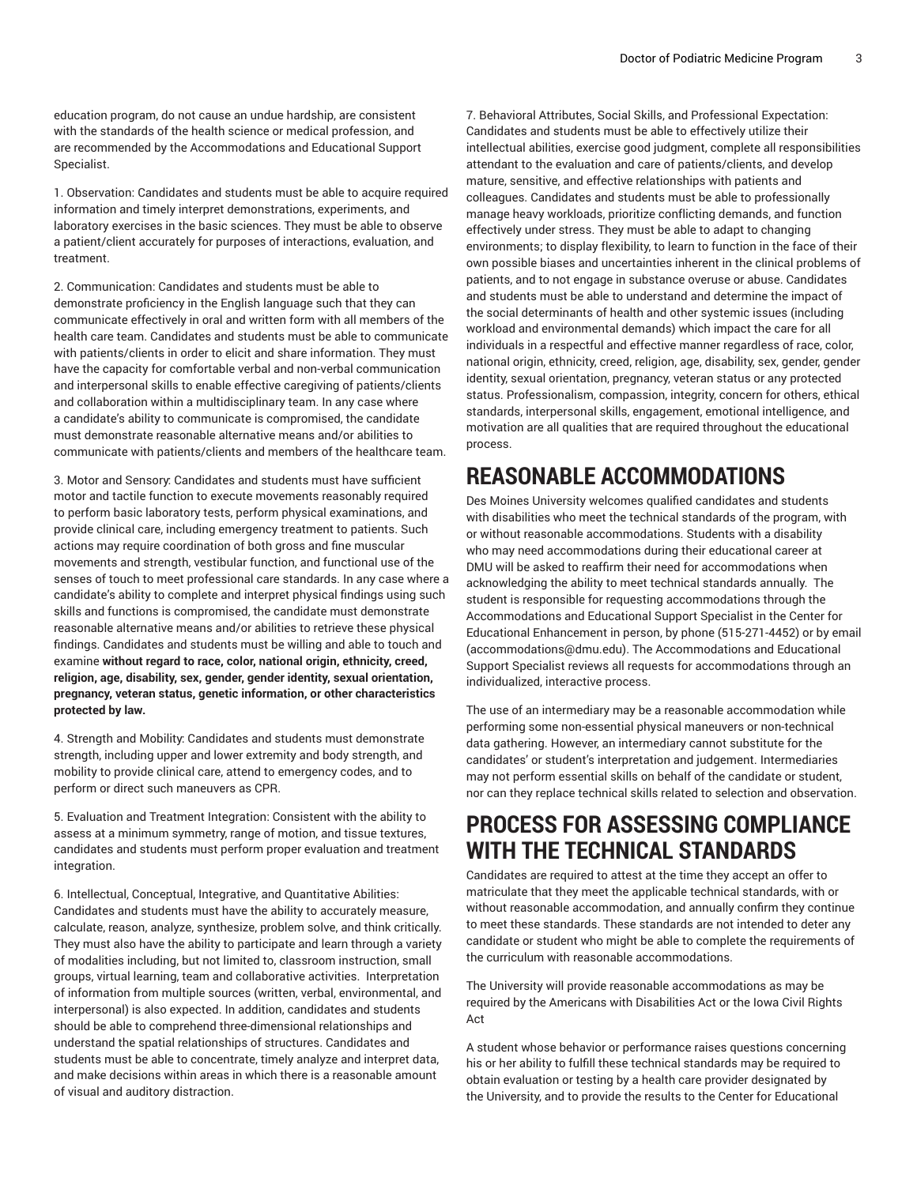education program, do not cause an undue hardship, are consistent with the standards of the health science or medical profession, and are recommended by the Accommodations and Educational Support Specialist.

1. Observation: Candidates and students must be able to acquire required information and timely interpret demonstrations, experiments, and laboratory exercises in the basic sciences. They must be able to observe a patient/client accurately for purposes of interactions, evaluation, and treatment.

2. Communication: Candidates and students must be able to demonstrate proficiency in the English language such that they can communicate effectively in oral and written form with all members of the health care team. Candidates and students must be able to communicate with patients/clients in order to elicit and share information. They must have the capacity for comfortable verbal and non-verbal communication and interpersonal skills to enable effective caregiving of patients/clients and collaboration within a multidisciplinary team. In any case where a candidate's ability to communicate is compromised, the candidate must demonstrate reasonable alternative means and/or abilities to communicate with patients/clients and members of the healthcare team.

3. Motor and Sensory: Candidates and students must have sufficient motor and tactile function to execute movements reasonably required to perform basic laboratory tests, perform physical examinations, and provide clinical care, including emergency treatment to patients. Such actions may require coordination of both gross and fine muscular movements and strength, vestibular function, and functional use of the senses of touch to meet professional care standards. In any case where a candidate's ability to complete and interpret physical findings using such skills and functions is compromised, the candidate must demonstrate reasonable alternative means and/or abilities to retrieve these physical findings. Candidates and students must be willing and able to touch and examine **without regard to race, color, national origin, ethnicity, creed, religion, age, disability, sex, gender, gender identity, sexual orientation, pregnancy, veteran status, genetic information, or other characteristics protected by law.**

4. Strength and Mobility: Candidates and students must demonstrate strength, including upper and lower extremity and body strength, and mobility to provide clinical care, attend to emergency codes, and to perform or direct such maneuvers as CPR.

5. Evaluation and Treatment Integration: Consistent with the ability to assess at a minimum symmetry, range of motion, and tissue textures, candidates and students must perform proper evaluation and treatment integration.

6. Intellectual, Conceptual, Integrative, and Quantitative Abilities: Candidates and students must have the ability to accurately measure, calculate, reason, analyze, synthesize, problem solve, and think critically. They must also have the ability to participate and learn through a variety of modalities including, but not limited to, classroom instruction, small groups, virtual learning, team and collaborative activities. Interpretation of information from multiple sources (written, verbal, environmental, and interpersonal) is also expected. In addition, candidates and students should be able to comprehend three-dimensional relationships and understand the spatial relationships of structures. Candidates and students must be able to concentrate, timely analyze and interpret data, and make decisions within areas in which there is a reasonable amount of visual and auditory distraction.

7. Behavioral Attributes, Social Skills, and Professional Expectation: Candidates and students must be able to effectively utilize their intellectual abilities, exercise good judgment, complete all responsibilities attendant to the evaluation and care of patients/clients, and develop mature, sensitive, and effective relationships with patients and colleagues. Candidates and students must be able to professionally manage heavy workloads, prioritize conflicting demands, and function effectively under stress. They must be able to adapt to changing environments; to display flexibility, to learn to function in the face of their own possible biases and uncertainties inherent in the clinical problems of patients, and to not engage in substance overuse or abuse. Candidates and students must be able to understand and determine the impact of the social determinants of health and other systemic issues (including workload and environmental demands) which impact the care for all individuals in a respectful and effective manner regardless of race, color, national origin, ethnicity, creed, religion, age, disability, sex, gender, gender identity, sexual orientation, pregnancy, veteran status or any protected status. Professionalism, compassion, integrity, concern for others, ethical standards, interpersonal skills, engagement, emotional intelligence, and motivation are all qualities that are required throughout the educational process.

#### **REASONABLE ACCOMMODATIONS**

Des Moines University welcomes qualified candidates and students with disabilities who meet the technical standards of the program, with or without reasonable accommodations. Students with a disability who may need accommodations during their educational career at DMU will be asked to reaffirm their need for accommodations when acknowledging the ability to meet technical standards annually. The student is responsible for requesting accommodations through the Accommodations and Educational Support Specialist in the Center for Educational Enhancement in person, by phone (515-271-4452) or by email (accommodations@dmu.edu). The Accommodations and Educational Support Specialist reviews all requests for accommodations through an individualized, interactive process.

The use of an intermediary may be a reasonable accommodation while performing some non-essential physical maneuvers or non-technical data gathering. However, an intermediary cannot substitute for the candidates' or student's interpretation and judgement. Intermediaries may not perform essential skills on behalf of the candidate or student, nor can they replace technical skills related to selection and observation.

#### **PROCESS FOR ASSESSING COMPLIANCE WITH THE TECHNICAL STANDARDS**

Candidates are required to attest at the time they accept an offer to matriculate that they meet the applicable technical standards, with or without reasonable accommodation, and annually confirm they continue to meet these standards. These standards are not intended to deter any candidate or student who might be able to complete the requirements of the curriculum with reasonable accommodations.

The University will provide reasonable accommodations as may be required by the Americans with Disabilities Act or the Iowa Civil Rights Act

A student whose behavior or performance raises questions concerning his or her ability to fulfill these technical standards may be required to obtain evaluation or testing by a health care provider designated by the University, and to provide the results to the Center for Educational